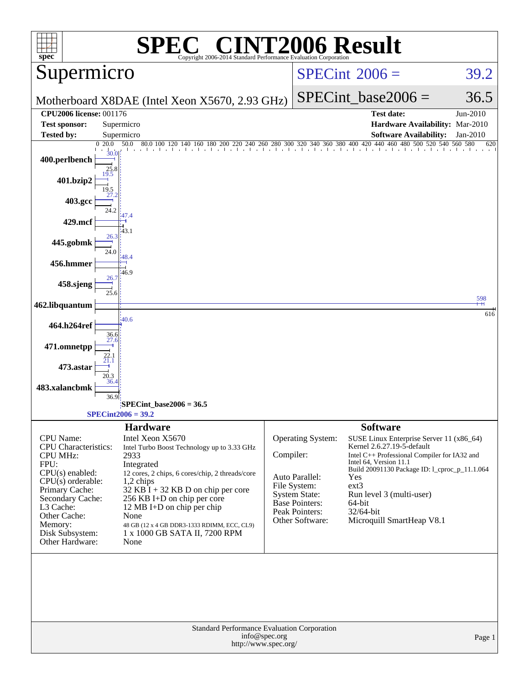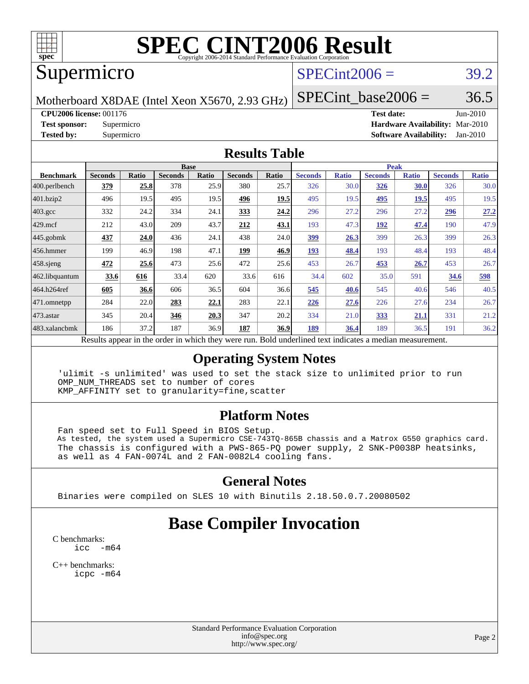

# **[SPEC CINT2006 Result](http://www.spec.org/auto/cpu2006/Docs/result-fields.html#SPECCINT2006Result)**

## Supermicro

# $SPECint2006 = 39.2$  $SPECint2006 = 39.2$

Motherboard X8DAE (Intel Xeon X5670, 2.93 GHz)

SPECint base2006 =  $36.5$ 

**[CPU2006 license:](http://www.spec.org/auto/cpu2006/Docs/result-fields.html#CPU2006license)** 001176 **[Test date:](http://www.spec.org/auto/cpu2006/Docs/result-fields.html#Testdate)** Jun-2010

**[Test sponsor:](http://www.spec.org/auto/cpu2006/Docs/result-fields.html#Testsponsor)** Supermicro **[Hardware Availability:](http://www.spec.org/auto/cpu2006/Docs/result-fields.html#HardwareAvailability)** Mar-2010 **[Tested by:](http://www.spec.org/auto/cpu2006/Docs/result-fields.html#Testedby)** Supermicro **[Software Availability:](http://www.spec.org/auto/cpu2006/Docs/result-fields.html#SoftwareAvailability)** Jan-2010

#### **[Results Table](http://www.spec.org/auto/cpu2006/Docs/result-fields.html#ResultsTable)**

|                         | <b>Base</b>                                                                                              |       |                |       |                |       | <b>Peak</b>    |              |                |              |                |              |
|-------------------------|----------------------------------------------------------------------------------------------------------|-------|----------------|-------|----------------|-------|----------------|--------------|----------------|--------------|----------------|--------------|
| <b>Benchmark</b>        | <b>Seconds</b>                                                                                           | Ratio | <b>Seconds</b> | Ratio | <b>Seconds</b> | Ratio | <b>Seconds</b> | <b>Ratio</b> | <b>Seconds</b> | <b>Ratio</b> | <b>Seconds</b> | <b>Ratio</b> |
| $ 400.\text{perlbench}$ | 379                                                                                                      | 25.8  | 378            | 25.9  | 380            | 25.7  | 326            | 30.0         | <b>326</b>     | 30.0         | 326            | 30.0         |
| 401.bzip2               | 496                                                                                                      | 19.5  | 495            | 19.5  | 496            | 19.5  | 495            | 19.5         | 495            | 19.5         | 495            | 19.5         |
| 403.gcc                 | 332                                                                                                      | 24.2  | 334            | 24.1  | 333            | 24.2  | 296            | 27.2         | 296            | 27.2         | <u>296</u>     | 27.2         |
| $429$ mcf               | 212                                                                                                      | 43.0  | 209            | 43.7  | 212            | 43.1  | 193            | 47.3         | 192            | 47.4         | 190            | 47.9         |
| $445$ .gobmk            | <u>437</u>                                                                                               | 24.0  | 436            | 24.1  | 438            | 24.0  | <u>399</u>     | 26.3         | 399            | 26.3         | 399            | 26.3         |
| $ 456$ .hmmer           | 199                                                                                                      | 46.9  | 198            | 47.1  | 199            | 46.9  | 193            | 48.4         | 193            | 48.4         | 193            | 48.4         |
| $458$ .sjeng            | 472                                                                                                      | 25.6  | 473            | 25.6  | 472            | 25.6  | 453            | 26.7         | 453            | 26.7         | 453            | 26.7         |
| 462.libquantum          | 33.6                                                                                                     | 616   | 33.4           | 620   | 33.6           | 616   | 34.4           | 602          | 35.0           | 591          | 34.6           | 598          |
| 464.h264ref             | 605                                                                                                      | 36.6  | 606            | 36.5  | 604            | 36.6  | 545            | 40.6         | 545            | 40.6         | 546            | 40.5         |
| 471.omnetpp             | 284                                                                                                      | 22.0  | 283            | 22.1  | 283            | 22.1  | 226            | 27.6         | 226            | 27.6         | 234            | 26.7         |
| $473$ . astar           | 345                                                                                                      | 20.4  | 346            | 20.3  | 347            | 20.2  | 334            | 21.0         | 333            | 21.1         | 331            | 21.2         |
| 483.xalancbmk           | 186                                                                                                      | 37.2  | 187            | 36.9  | 187            | 36.9  | 189            | 36.4         | 189            | 36.5         | 191            | 36.2         |
|                         | Results appear in the order in which they were run. Bold underlined text indicates a median measurement. |       |                |       |                |       |                |              |                |              |                |              |

### **[Operating System Notes](http://www.spec.org/auto/cpu2006/Docs/result-fields.html#OperatingSystemNotes)**

 'ulimit -s unlimited' was used to set the stack size to unlimited prior to run OMP\_NUM\_THREADS set to number of cores KMP\_AFFINITY set to granularity=fine,scatter

#### **[Platform Notes](http://www.spec.org/auto/cpu2006/Docs/result-fields.html#PlatformNotes)**

 Fan speed set to Full Speed in BIOS Setup. As tested, the system used a Supermicro CSE-743TQ-865B chassis and a Matrox G550 graphics card. The chassis is configured with a PWS-865-PQ power supply, 2 SNK-P0038P heatsinks, as well as 4 FAN-0074L and 2 FAN-0082L4 cooling fans.

### **[General Notes](http://www.spec.org/auto/cpu2006/Docs/result-fields.html#GeneralNotes)**

Binaries were compiled on SLES 10 with Binutils 2.18.50.0.7.20080502

# **[Base Compiler Invocation](http://www.spec.org/auto/cpu2006/Docs/result-fields.html#BaseCompilerInvocation)**

[C benchmarks](http://www.spec.org/auto/cpu2006/Docs/result-fields.html#Cbenchmarks):  $\text{icc}$   $-\text{m64}$ 

[C++ benchmarks:](http://www.spec.org/auto/cpu2006/Docs/result-fields.html#CXXbenchmarks) [icpc -m64](http://www.spec.org/cpu2006/results/res2010q3/cpu2006-20100615-11718.flags.html#user_CXXbase_intel_icpc_64bit_fc66a5337ce925472a5c54ad6a0de310)

> Standard Performance Evaluation Corporation [info@spec.org](mailto:info@spec.org) <http://www.spec.org/>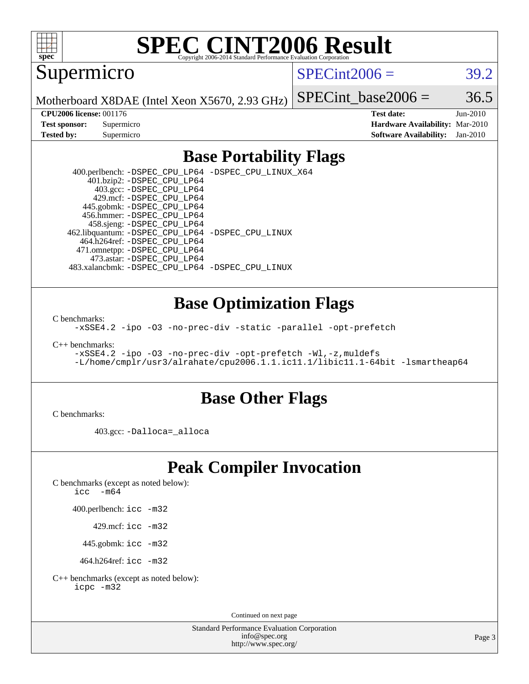

# **[SPEC CINT2006 Result](http://www.spec.org/auto/cpu2006/Docs/result-fields.html#SPECCINT2006Result)**

Supermicro

 $SPECint2006 = 39.2$  $SPECint2006 = 39.2$ 

Motherboard X8DAE (Intel Xeon X5670, 2.93 GHz)

SPECint base2006 =  $36.5$ 

**[CPU2006 license:](http://www.spec.org/auto/cpu2006/Docs/result-fields.html#CPU2006license)** 001176 **[Test date:](http://www.spec.org/auto/cpu2006/Docs/result-fields.html#Testdate)** Jun-2010 **[Test sponsor:](http://www.spec.org/auto/cpu2006/Docs/result-fields.html#Testsponsor)** Supermicro **[Hardware Availability:](http://www.spec.org/auto/cpu2006/Docs/result-fields.html#HardwareAvailability)** Mar-2010 **[Tested by:](http://www.spec.org/auto/cpu2006/Docs/result-fields.html#Testedby)** Supermicro **[Software Availability:](http://www.spec.org/auto/cpu2006/Docs/result-fields.html#SoftwareAvailability)** Jan-2010

## **[Base Portability Flags](http://www.spec.org/auto/cpu2006/Docs/result-fields.html#BasePortabilityFlags)**

 400.perlbench: [-DSPEC\\_CPU\\_LP64](http://www.spec.org/cpu2006/results/res2010q3/cpu2006-20100615-11718.flags.html#b400.perlbench_basePORTABILITY_DSPEC_CPU_LP64) [-DSPEC\\_CPU\\_LINUX\\_X64](http://www.spec.org/cpu2006/results/res2010q3/cpu2006-20100615-11718.flags.html#b400.perlbench_baseCPORTABILITY_DSPEC_CPU_LINUX_X64) 401.bzip2: [-DSPEC\\_CPU\\_LP64](http://www.spec.org/cpu2006/results/res2010q3/cpu2006-20100615-11718.flags.html#suite_basePORTABILITY401_bzip2_DSPEC_CPU_LP64) 403.gcc: [-DSPEC\\_CPU\\_LP64](http://www.spec.org/cpu2006/results/res2010q3/cpu2006-20100615-11718.flags.html#suite_basePORTABILITY403_gcc_DSPEC_CPU_LP64) 429.mcf: [-DSPEC\\_CPU\\_LP64](http://www.spec.org/cpu2006/results/res2010q3/cpu2006-20100615-11718.flags.html#suite_basePORTABILITY429_mcf_DSPEC_CPU_LP64) 445.gobmk: [-DSPEC\\_CPU\\_LP64](http://www.spec.org/cpu2006/results/res2010q3/cpu2006-20100615-11718.flags.html#suite_basePORTABILITY445_gobmk_DSPEC_CPU_LP64) 456.hmmer: [-DSPEC\\_CPU\\_LP64](http://www.spec.org/cpu2006/results/res2010q3/cpu2006-20100615-11718.flags.html#suite_basePORTABILITY456_hmmer_DSPEC_CPU_LP64) 458.sjeng: [-DSPEC\\_CPU\\_LP64](http://www.spec.org/cpu2006/results/res2010q3/cpu2006-20100615-11718.flags.html#suite_basePORTABILITY458_sjeng_DSPEC_CPU_LP64) 462.libquantum: [-DSPEC\\_CPU\\_LP64](http://www.spec.org/cpu2006/results/res2010q3/cpu2006-20100615-11718.flags.html#suite_basePORTABILITY462_libquantum_DSPEC_CPU_LP64) [-DSPEC\\_CPU\\_LINUX](http://www.spec.org/cpu2006/results/res2010q3/cpu2006-20100615-11718.flags.html#b462.libquantum_baseCPORTABILITY_DSPEC_CPU_LINUX) 464.h264ref: [-DSPEC\\_CPU\\_LP64](http://www.spec.org/cpu2006/results/res2010q3/cpu2006-20100615-11718.flags.html#suite_basePORTABILITY464_h264ref_DSPEC_CPU_LP64) 471.omnetpp: [-DSPEC\\_CPU\\_LP64](http://www.spec.org/cpu2006/results/res2010q3/cpu2006-20100615-11718.flags.html#suite_basePORTABILITY471_omnetpp_DSPEC_CPU_LP64) 473.astar: [-DSPEC\\_CPU\\_LP64](http://www.spec.org/cpu2006/results/res2010q3/cpu2006-20100615-11718.flags.html#suite_basePORTABILITY473_astar_DSPEC_CPU_LP64) 483.xalancbmk: [-DSPEC\\_CPU\\_LP64](http://www.spec.org/cpu2006/results/res2010q3/cpu2006-20100615-11718.flags.html#suite_basePORTABILITY483_xalancbmk_DSPEC_CPU_LP64) [-DSPEC\\_CPU\\_LINUX](http://www.spec.org/cpu2006/results/res2010q3/cpu2006-20100615-11718.flags.html#b483.xalancbmk_baseCXXPORTABILITY_DSPEC_CPU_LINUX)

### **[Base Optimization Flags](http://www.spec.org/auto/cpu2006/Docs/result-fields.html#BaseOptimizationFlags)**

[C benchmarks](http://www.spec.org/auto/cpu2006/Docs/result-fields.html#Cbenchmarks):

[-xSSE4.2](http://www.spec.org/cpu2006/results/res2010q3/cpu2006-20100615-11718.flags.html#user_CCbase_f-xSSE42_f91528193cf0b216347adb8b939d4107) [-ipo](http://www.spec.org/cpu2006/results/res2010q3/cpu2006-20100615-11718.flags.html#user_CCbase_f-ipo) [-O3](http://www.spec.org/cpu2006/results/res2010q3/cpu2006-20100615-11718.flags.html#user_CCbase_f-O3) [-no-prec-div](http://www.spec.org/cpu2006/results/res2010q3/cpu2006-20100615-11718.flags.html#user_CCbase_f-no-prec-div) [-static](http://www.spec.org/cpu2006/results/res2010q3/cpu2006-20100615-11718.flags.html#user_CCbase_f-static) [-parallel](http://www.spec.org/cpu2006/results/res2010q3/cpu2006-20100615-11718.flags.html#user_CCbase_f-parallel) [-opt-prefetch](http://www.spec.org/cpu2006/results/res2010q3/cpu2006-20100615-11718.flags.html#user_CCbase_f-opt-prefetch)

[C++ benchmarks:](http://www.spec.org/auto/cpu2006/Docs/result-fields.html#CXXbenchmarks)

```
-xSSE4.2 -ipo -O3 -no-prec-div -opt-prefetch -Wl,-z,muldefs
-L/home/cmplr/usr3/alrahate/cpu2006.1.1.ic11.1/libic11.1-64bit -lsmartheap64
```
### **[Base Other Flags](http://www.spec.org/auto/cpu2006/Docs/result-fields.html#BaseOtherFlags)**

[C benchmarks](http://www.spec.org/auto/cpu2006/Docs/result-fields.html#Cbenchmarks):

403.gcc: [-Dalloca=\\_alloca](http://www.spec.org/cpu2006/results/res2010q3/cpu2006-20100615-11718.flags.html#b403.gcc_baseEXTRA_CFLAGS_Dalloca_be3056838c12de2578596ca5467af7f3)

# **[Peak Compiler Invocation](http://www.spec.org/auto/cpu2006/Docs/result-fields.html#PeakCompilerInvocation)**

[C benchmarks \(except as noted below\)](http://www.spec.org/auto/cpu2006/Docs/result-fields.html#Cbenchmarksexceptasnotedbelow):

[icc -m64](http://www.spec.org/cpu2006/results/res2010q3/cpu2006-20100615-11718.flags.html#user_CCpeak_intel_icc_64bit_f346026e86af2a669e726fe758c88044)

400.perlbench: [icc -m32](http://www.spec.org/cpu2006/results/res2010q3/cpu2006-20100615-11718.flags.html#user_peakCCLD400_perlbench_intel_icc_32bit_a6a621f8d50482236b970c6ac5f55f93)

429.mcf: [icc -m32](http://www.spec.org/cpu2006/results/res2010q3/cpu2006-20100615-11718.flags.html#user_peakCCLD429_mcf_intel_icc_32bit_a6a621f8d50482236b970c6ac5f55f93)

445.gobmk: [icc -m32](http://www.spec.org/cpu2006/results/res2010q3/cpu2006-20100615-11718.flags.html#user_peakCCLD445_gobmk_intel_icc_32bit_a6a621f8d50482236b970c6ac5f55f93)

464.h264ref: [icc -m32](http://www.spec.org/cpu2006/results/res2010q3/cpu2006-20100615-11718.flags.html#user_peakCCLD464_h264ref_intel_icc_32bit_a6a621f8d50482236b970c6ac5f55f93)

[C++ benchmarks \(except as noted below\):](http://www.spec.org/auto/cpu2006/Docs/result-fields.html#CXXbenchmarksexceptasnotedbelow) [icpc -m32](http://www.spec.org/cpu2006/results/res2010q3/cpu2006-20100615-11718.flags.html#user_CXXpeak_intel_icpc_32bit_4e5a5ef1a53fd332b3c49e69c3330699)

Continued on next page

Standard Performance Evaluation Corporation [info@spec.org](mailto:info@spec.org) <http://www.spec.org/>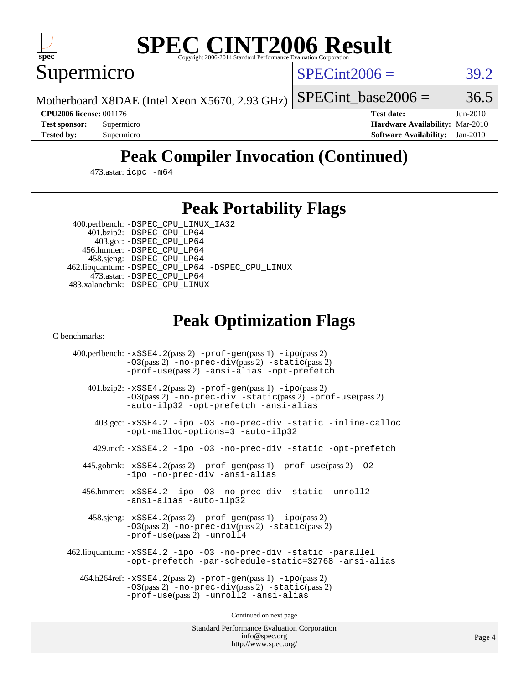

# **[SPEC CINT2006 Result](http://www.spec.org/auto/cpu2006/Docs/result-fields.html#SPECCINT2006Result)**

Supermicro

 $SPECint2006 = 39.2$  $SPECint2006 = 39.2$ 

Motherboard X8DAE (Intel Xeon X5670, 2.93 GHz)

SPECint base2006 =  $36.5$ 

**[CPU2006 license:](http://www.spec.org/auto/cpu2006/Docs/result-fields.html#CPU2006license)** 001176 **[Test date:](http://www.spec.org/auto/cpu2006/Docs/result-fields.html#Testdate)** Jun-2010 **[Test sponsor:](http://www.spec.org/auto/cpu2006/Docs/result-fields.html#Testsponsor)** Supermicro **[Hardware Availability:](http://www.spec.org/auto/cpu2006/Docs/result-fields.html#HardwareAvailability)** Mar-2010 **[Tested by:](http://www.spec.org/auto/cpu2006/Docs/result-fields.html#Testedby)** Supermicro **[Software Availability:](http://www.spec.org/auto/cpu2006/Docs/result-fields.html#SoftwareAvailability)** Jan-2010

# **[Peak Compiler Invocation \(Continued\)](http://www.spec.org/auto/cpu2006/Docs/result-fields.html#PeakCompilerInvocation)**

473.astar: [icpc -m64](http://www.spec.org/cpu2006/results/res2010q3/cpu2006-20100615-11718.flags.html#user_peakCXXLD473_astar_intel_icpc_64bit_fc66a5337ce925472a5c54ad6a0de310)

## **[Peak Portability Flags](http://www.spec.org/auto/cpu2006/Docs/result-fields.html#PeakPortabilityFlags)**

 400.perlbench: [-DSPEC\\_CPU\\_LINUX\\_IA32](http://www.spec.org/cpu2006/results/res2010q3/cpu2006-20100615-11718.flags.html#b400.perlbench_peakCPORTABILITY_DSPEC_CPU_LINUX_IA32) 401.bzip2: [-DSPEC\\_CPU\\_LP64](http://www.spec.org/cpu2006/results/res2010q3/cpu2006-20100615-11718.flags.html#suite_peakPORTABILITY401_bzip2_DSPEC_CPU_LP64)

 403.gcc: [-DSPEC\\_CPU\\_LP64](http://www.spec.org/cpu2006/results/res2010q3/cpu2006-20100615-11718.flags.html#suite_peakPORTABILITY403_gcc_DSPEC_CPU_LP64) 456.hmmer: [-DSPEC\\_CPU\\_LP64](http://www.spec.org/cpu2006/results/res2010q3/cpu2006-20100615-11718.flags.html#suite_peakPORTABILITY456_hmmer_DSPEC_CPU_LP64) 458.sjeng: [-DSPEC\\_CPU\\_LP64](http://www.spec.org/cpu2006/results/res2010q3/cpu2006-20100615-11718.flags.html#suite_peakPORTABILITY458_sjeng_DSPEC_CPU_LP64) 462.libquantum: [-DSPEC\\_CPU\\_LP64](http://www.spec.org/cpu2006/results/res2010q3/cpu2006-20100615-11718.flags.html#suite_peakPORTABILITY462_libquantum_DSPEC_CPU_LP64) [-DSPEC\\_CPU\\_LINUX](http://www.spec.org/cpu2006/results/res2010q3/cpu2006-20100615-11718.flags.html#b462.libquantum_peakCPORTABILITY_DSPEC_CPU_LINUX) 473.astar: [-DSPEC\\_CPU\\_LP64](http://www.spec.org/cpu2006/results/res2010q3/cpu2006-20100615-11718.flags.html#suite_peakPORTABILITY473_astar_DSPEC_CPU_LP64) 483.xalancbmk: [-DSPEC\\_CPU\\_LINUX](http://www.spec.org/cpu2006/results/res2010q3/cpu2006-20100615-11718.flags.html#b483.xalancbmk_peakCXXPORTABILITY_DSPEC_CPU_LINUX)

# **[Peak Optimization Flags](http://www.spec.org/auto/cpu2006/Docs/result-fields.html#PeakOptimizationFlags)**

[C benchmarks](http://www.spec.org/auto/cpu2006/Docs/result-fields.html#Cbenchmarks):

 400.perlbench: [-xSSE4.2](http://www.spec.org/cpu2006/results/res2010q3/cpu2006-20100615-11718.flags.html#user_peakPASS2_CFLAGSPASS2_LDCFLAGS400_perlbench_f-xSSE42_f91528193cf0b216347adb8b939d4107)(pass 2) [-prof-gen](http://www.spec.org/cpu2006/results/res2010q3/cpu2006-20100615-11718.flags.html#user_peakPASS1_CFLAGSPASS1_LDCFLAGS400_perlbench_prof_gen_e43856698f6ca7b7e442dfd80e94a8fc)(pass 1) [-ipo](http://www.spec.org/cpu2006/results/res2010q3/cpu2006-20100615-11718.flags.html#user_peakPASS2_CFLAGSPASS2_LDCFLAGS400_perlbench_f-ipo)(pass 2) [-O3](http://www.spec.org/cpu2006/results/res2010q3/cpu2006-20100615-11718.flags.html#user_peakPASS2_CFLAGSPASS2_LDCFLAGS400_perlbench_f-O3)(pass 2) [-no-prec-div](http://www.spec.org/cpu2006/results/res2010q3/cpu2006-20100615-11718.flags.html#user_peakPASS2_CFLAGSPASS2_LDCFLAGS400_perlbench_f-no-prec-div)(pass 2) [-static](http://www.spec.org/cpu2006/results/res2010q3/cpu2006-20100615-11718.flags.html#user_peakPASS2_CFLAGSPASS2_LDCFLAGS400_perlbench_f-static)(pass 2) [-prof-use](http://www.spec.org/cpu2006/results/res2010q3/cpu2006-20100615-11718.flags.html#user_peakPASS2_CFLAGSPASS2_LDCFLAGS400_perlbench_prof_use_bccf7792157ff70d64e32fe3e1250b55)(pass 2) [-ansi-alias](http://www.spec.org/cpu2006/results/res2010q3/cpu2006-20100615-11718.flags.html#user_peakCOPTIMIZE400_perlbench_f-ansi-alias) [-opt-prefetch](http://www.spec.org/cpu2006/results/res2010q3/cpu2006-20100615-11718.flags.html#user_peakCOPTIMIZE400_perlbench_f-opt-prefetch) 401.bzip2: [-xSSE4.2](http://www.spec.org/cpu2006/results/res2010q3/cpu2006-20100615-11718.flags.html#user_peakPASS2_CFLAGSPASS2_LDCFLAGS401_bzip2_f-xSSE42_f91528193cf0b216347adb8b939d4107)(pass 2) [-prof-gen](http://www.spec.org/cpu2006/results/res2010q3/cpu2006-20100615-11718.flags.html#user_peakPASS1_CFLAGSPASS1_LDCFLAGS401_bzip2_prof_gen_e43856698f6ca7b7e442dfd80e94a8fc)(pass 1) [-ipo](http://www.spec.org/cpu2006/results/res2010q3/cpu2006-20100615-11718.flags.html#user_peakPASS2_CFLAGSPASS2_LDCFLAGS401_bzip2_f-ipo)(pass 2) [-O3](http://www.spec.org/cpu2006/results/res2010q3/cpu2006-20100615-11718.flags.html#user_peakPASS2_CFLAGSPASS2_LDCFLAGS401_bzip2_f-O3)(pass 2) [-no-prec-div](http://www.spec.org/cpu2006/results/res2010q3/cpu2006-20100615-11718.flags.html#user_peakCOPTIMIZEPASS2_CFLAGSPASS2_LDCFLAGS401_bzip2_f-no-prec-div) [-static](http://www.spec.org/cpu2006/results/res2010q3/cpu2006-20100615-11718.flags.html#user_peakPASS2_CFLAGSPASS2_LDCFLAGS401_bzip2_f-static)(pass 2) [-prof-use](http://www.spec.org/cpu2006/results/res2010q3/cpu2006-20100615-11718.flags.html#user_peakPASS2_CFLAGSPASS2_LDCFLAGS401_bzip2_prof_use_bccf7792157ff70d64e32fe3e1250b55)(pass 2) [-auto-ilp32](http://www.spec.org/cpu2006/results/res2010q3/cpu2006-20100615-11718.flags.html#user_peakCOPTIMIZE401_bzip2_f-auto-ilp32) [-opt-prefetch](http://www.spec.org/cpu2006/results/res2010q3/cpu2006-20100615-11718.flags.html#user_peakCOPTIMIZE401_bzip2_f-opt-prefetch) [-ansi-alias](http://www.spec.org/cpu2006/results/res2010q3/cpu2006-20100615-11718.flags.html#user_peakCOPTIMIZE401_bzip2_f-ansi-alias) 403.gcc: [-xSSE4.2](http://www.spec.org/cpu2006/results/res2010q3/cpu2006-20100615-11718.flags.html#user_peakCOPTIMIZE403_gcc_f-xSSE42_f91528193cf0b216347adb8b939d4107) [-ipo](http://www.spec.org/cpu2006/results/res2010q3/cpu2006-20100615-11718.flags.html#user_peakCOPTIMIZE403_gcc_f-ipo) [-O3](http://www.spec.org/cpu2006/results/res2010q3/cpu2006-20100615-11718.flags.html#user_peakCOPTIMIZE403_gcc_f-O3) [-no-prec-div](http://www.spec.org/cpu2006/results/res2010q3/cpu2006-20100615-11718.flags.html#user_peakCOPTIMIZE403_gcc_f-no-prec-div) [-static](http://www.spec.org/cpu2006/results/res2010q3/cpu2006-20100615-11718.flags.html#user_peakCOPTIMIZE403_gcc_f-static) [-inline-calloc](http://www.spec.org/cpu2006/results/res2010q3/cpu2006-20100615-11718.flags.html#user_peakCOPTIMIZE403_gcc_f-inline-calloc) [-opt-malloc-options=3](http://www.spec.org/cpu2006/results/res2010q3/cpu2006-20100615-11718.flags.html#user_peakCOPTIMIZE403_gcc_f-opt-malloc-options_13ab9b803cf986b4ee62f0a5998c2238) [-auto-ilp32](http://www.spec.org/cpu2006/results/res2010q3/cpu2006-20100615-11718.flags.html#user_peakCOPTIMIZE403_gcc_f-auto-ilp32) 429.mcf: [-xSSE4.2](http://www.spec.org/cpu2006/results/res2010q3/cpu2006-20100615-11718.flags.html#user_peakCOPTIMIZE429_mcf_f-xSSE42_f91528193cf0b216347adb8b939d4107) [-ipo](http://www.spec.org/cpu2006/results/res2010q3/cpu2006-20100615-11718.flags.html#user_peakCOPTIMIZE429_mcf_f-ipo) [-O3](http://www.spec.org/cpu2006/results/res2010q3/cpu2006-20100615-11718.flags.html#user_peakCOPTIMIZE429_mcf_f-O3) [-no-prec-div](http://www.spec.org/cpu2006/results/res2010q3/cpu2006-20100615-11718.flags.html#user_peakCOPTIMIZE429_mcf_f-no-prec-div) [-static](http://www.spec.org/cpu2006/results/res2010q3/cpu2006-20100615-11718.flags.html#user_peakCOPTIMIZE429_mcf_f-static) [-opt-prefetch](http://www.spec.org/cpu2006/results/res2010q3/cpu2006-20100615-11718.flags.html#user_peakCOPTIMIZE429_mcf_f-opt-prefetch) 445.gobmk: [-xSSE4.2](http://www.spec.org/cpu2006/results/res2010q3/cpu2006-20100615-11718.flags.html#user_peakPASS2_CFLAGSPASS2_LDCFLAGS445_gobmk_f-xSSE42_f91528193cf0b216347adb8b939d4107)(pass 2) [-prof-gen](http://www.spec.org/cpu2006/results/res2010q3/cpu2006-20100615-11718.flags.html#user_peakPASS1_CFLAGSPASS1_LDCFLAGS445_gobmk_prof_gen_e43856698f6ca7b7e442dfd80e94a8fc)(pass 1) [-prof-use](http://www.spec.org/cpu2006/results/res2010q3/cpu2006-20100615-11718.flags.html#user_peakPASS2_CFLAGSPASS2_LDCFLAGS445_gobmk_prof_use_bccf7792157ff70d64e32fe3e1250b55)(pass 2) [-O2](http://www.spec.org/cpu2006/results/res2010q3/cpu2006-20100615-11718.flags.html#user_peakCOPTIMIZE445_gobmk_f-O2) [-ipo](http://www.spec.org/cpu2006/results/res2010q3/cpu2006-20100615-11718.flags.html#user_peakCOPTIMIZE445_gobmk_f-ipo) [-no-prec-div](http://www.spec.org/cpu2006/results/res2010q3/cpu2006-20100615-11718.flags.html#user_peakCOPTIMIZE445_gobmk_f-no-prec-div) [-ansi-alias](http://www.spec.org/cpu2006/results/res2010q3/cpu2006-20100615-11718.flags.html#user_peakCOPTIMIZE445_gobmk_f-ansi-alias) 456.hmmer: [-xSSE4.2](http://www.spec.org/cpu2006/results/res2010q3/cpu2006-20100615-11718.flags.html#user_peakCOPTIMIZE456_hmmer_f-xSSE42_f91528193cf0b216347adb8b939d4107) [-ipo](http://www.spec.org/cpu2006/results/res2010q3/cpu2006-20100615-11718.flags.html#user_peakCOPTIMIZE456_hmmer_f-ipo) [-O3](http://www.spec.org/cpu2006/results/res2010q3/cpu2006-20100615-11718.flags.html#user_peakCOPTIMIZE456_hmmer_f-O3) [-no-prec-div](http://www.spec.org/cpu2006/results/res2010q3/cpu2006-20100615-11718.flags.html#user_peakCOPTIMIZE456_hmmer_f-no-prec-div) [-static](http://www.spec.org/cpu2006/results/res2010q3/cpu2006-20100615-11718.flags.html#user_peakCOPTIMIZE456_hmmer_f-static) [-unroll2](http://www.spec.org/cpu2006/results/res2010q3/cpu2006-20100615-11718.flags.html#user_peakCOPTIMIZE456_hmmer_f-unroll_784dae83bebfb236979b41d2422d7ec2) [-ansi-alias](http://www.spec.org/cpu2006/results/res2010q3/cpu2006-20100615-11718.flags.html#user_peakCOPTIMIZE456_hmmer_f-ansi-alias) [-auto-ilp32](http://www.spec.org/cpu2006/results/res2010q3/cpu2006-20100615-11718.flags.html#user_peakCOPTIMIZE456_hmmer_f-auto-ilp32) 458.sjeng: [-xSSE4.2](http://www.spec.org/cpu2006/results/res2010q3/cpu2006-20100615-11718.flags.html#user_peakPASS2_CFLAGSPASS2_LDCFLAGS458_sjeng_f-xSSE42_f91528193cf0b216347adb8b939d4107)(pass 2) [-prof-gen](http://www.spec.org/cpu2006/results/res2010q3/cpu2006-20100615-11718.flags.html#user_peakPASS1_CFLAGSPASS1_LDCFLAGS458_sjeng_prof_gen_e43856698f6ca7b7e442dfd80e94a8fc)(pass 1) [-ipo](http://www.spec.org/cpu2006/results/res2010q3/cpu2006-20100615-11718.flags.html#user_peakPASS2_CFLAGSPASS2_LDCFLAGS458_sjeng_f-ipo)(pass 2) [-O3](http://www.spec.org/cpu2006/results/res2010q3/cpu2006-20100615-11718.flags.html#user_peakPASS2_CFLAGSPASS2_LDCFLAGS458_sjeng_f-O3)(pass 2) [-no-prec-div](http://www.spec.org/cpu2006/results/res2010q3/cpu2006-20100615-11718.flags.html#user_peakPASS2_CFLAGSPASS2_LDCFLAGS458_sjeng_f-no-prec-div)(pass 2) [-static](http://www.spec.org/cpu2006/results/res2010q3/cpu2006-20100615-11718.flags.html#user_peakPASS2_CFLAGSPASS2_LDCFLAGS458_sjeng_f-static)(pass 2) [-prof-use](http://www.spec.org/cpu2006/results/res2010q3/cpu2006-20100615-11718.flags.html#user_peakPASS2_CFLAGSPASS2_LDCFLAGS458_sjeng_prof_use_bccf7792157ff70d64e32fe3e1250b55)(pass 2) [-unroll4](http://www.spec.org/cpu2006/results/res2010q3/cpu2006-20100615-11718.flags.html#user_peakCOPTIMIZE458_sjeng_f-unroll_4e5e4ed65b7fd20bdcd365bec371b81f) 462.libquantum: [-xSSE4.2](http://www.spec.org/cpu2006/results/res2010q3/cpu2006-20100615-11718.flags.html#user_peakCOPTIMIZE462_libquantum_f-xSSE42_f91528193cf0b216347adb8b939d4107) [-ipo](http://www.spec.org/cpu2006/results/res2010q3/cpu2006-20100615-11718.flags.html#user_peakCOPTIMIZE462_libquantum_f-ipo) [-O3](http://www.spec.org/cpu2006/results/res2010q3/cpu2006-20100615-11718.flags.html#user_peakCOPTIMIZE462_libquantum_f-O3) [-no-prec-div](http://www.spec.org/cpu2006/results/res2010q3/cpu2006-20100615-11718.flags.html#user_peakCOPTIMIZE462_libquantum_f-no-prec-div) [-static](http://www.spec.org/cpu2006/results/res2010q3/cpu2006-20100615-11718.flags.html#user_peakCOPTIMIZE462_libquantum_f-static) [-parallel](http://www.spec.org/cpu2006/results/res2010q3/cpu2006-20100615-11718.flags.html#user_peakCOPTIMIZE462_libquantum_f-parallel) [-opt-prefetch](http://www.spec.org/cpu2006/results/res2010q3/cpu2006-20100615-11718.flags.html#user_peakCOPTIMIZE462_libquantum_f-opt-prefetch) [-par-schedule-static=32768](http://www.spec.org/cpu2006/results/res2010q3/cpu2006-20100615-11718.flags.html#user_peakCOPTIMIZE462_libquantum_f-par-schedule_9386bcd99ba64e99ee01d1aafefddd14) [-ansi-alias](http://www.spec.org/cpu2006/results/res2010q3/cpu2006-20100615-11718.flags.html#user_peakCOPTIMIZE462_libquantum_f-ansi-alias) 464.h264ref: [-xSSE4.2](http://www.spec.org/cpu2006/results/res2010q3/cpu2006-20100615-11718.flags.html#user_peakPASS2_CFLAGSPASS2_LDCFLAGS464_h264ref_f-xSSE42_f91528193cf0b216347adb8b939d4107)(pass 2) [-prof-gen](http://www.spec.org/cpu2006/results/res2010q3/cpu2006-20100615-11718.flags.html#user_peakPASS1_CFLAGSPASS1_LDCFLAGS464_h264ref_prof_gen_e43856698f6ca7b7e442dfd80e94a8fc)(pass 1) [-ipo](http://www.spec.org/cpu2006/results/res2010q3/cpu2006-20100615-11718.flags.html#user_peakPASS2_CFLAGSPASS2_LDCFLAGS464_h264ref_f-ipo)(pass 2) [-O3](http://www.spec.org/cpu2006/results/res2010q3/cpu2006-20100615-11718.flags.html#user_peakPASS2_CFLAGSPASS2_LDCFLAGS464_h264ref_f-O3)(pass 2) [-no-prec-div](http://www.spec.org/cpu2006/results/res2010q3/cpu2006-20100615-11718.flags.html#user_peakPASS2_CFLAGSPASS2_LDCFLAGS464_h264ref_f-no-prec-div)(pass 2) [-static](http://www.spec.org/cpu2006/results/res2010q3/cpu2006-20100615-11718.flags.html#user_peakPASS2_CFLAGSPASS2_LDCFLAGS464_h264ref_f-static)(pass 2) [-prof-use](http://www.spec.org/cpu2006/results/res2010q3/cpu2006-20100615-11718.flags.html#user_peakPASS2_CFLAGSPASS2_LDCFLAGS464_h264ref_prof_use_bccf7792157ff70d64e32fe3e1250b55)(pass 2) [-unroll2](http://www.spec.org/cpu2006/results/res2010q3/cpu2006-20100615-11718.flags.html#user_peakCOPTIMIZE464_h264ref_f-unroll_784dae83bebfb236979b41d2422d7ec2) [-ansi-alias](http://www.spec.org/cpu2006/results/res2010q3/cpu2006-20100615-11718.flags.html#user_peakCOPTIMIZE464_h264ref_f-ansi-alias)

Continued on next page

Standard Performance Evaluation Corporation [info@spec.org](mailto:info@spec.org) <http://www.spec.org/>